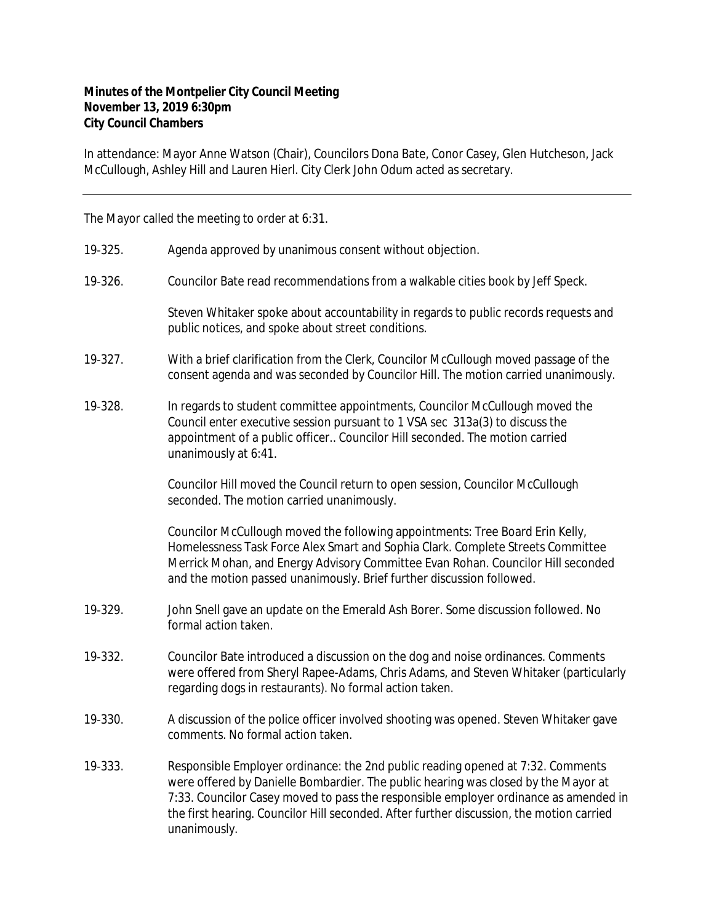## **Minutes of the Montpelier City Council Meeting November 13, 2019 6:30pm City Council Chambers**

In attendance: Mayor Anne Watson (Chair), Councilors Dona Bate, Conor Casey, Glen Hutcheson, Jack McCullough, Ashley Hill and Lauren Hierl. City Clerk John Odum acted as secretary.

The Mayor called the meeting to order at 6:31.

- 19‐325. Agenda approved by unanimous consent without objection.
- 19‐326. Councilor Bate read recommendations from a walkable cities book by Jeff Speck.

Steven Whitaker spoke about accountability in regards to public records requests and public notices, and spoke about street conditions.

- 19-327. With a brief clarification from the Clerk, Councilor McCullough moved passage of the consent agenda and was seconded by Councilor Hill. The motion carried unanimously.
- 19‐328. In regards to student committee appointments, Councilor McCullough moved the Council enter executive session pursuant to 1 VSA sec 313a(3) to discuss the appointment of a public officer.. Councilor Hill seconded. The motion carried unanimously at 6:41.

Councilor Hill moved the Council return to open session, Councilor McCullough seconded. The motion carried unanimously.

Councilor McCullough moved the following appointments: Tree Board Erin Kelly, Homelessness Task Force Alex Smart and Sophia Clark. Complete Streets Committee Merrick Mohan, and Energy Advisory Committee Evan Rohan. Councilor Hill seconded and the motion passed unanimously. Brief further discussion followed.

- 19‐329. John Snell gave an update on the Emerald Ash Borer. Some discussion followed. No formal action taken.
- 19‐332. Councilor Bate introduced a discussion on the dog and noise ordinances. Comments were offered from Sheryl Rapee-Adams, Chris Adams, and Steven Whitaker (particularly regarding dogs in restaurants). No formal action taken.
- 19‐330. A discussion of the police officer involved shooting was opened. Steven Whitaker gave comments. No formal action taken.
- 19‐333. Responsible Employer ordinance: the 2nd public reading opened at 7:32. Comments were offered by Danielle Bombardier. The public hearing was closed by the Mayor at 7:33. Councilor Casey moved to pass the responsible employer ordinance as amended in the first hearing. Councilor Hill seconded. After further discussion, the motion carried unanimously.